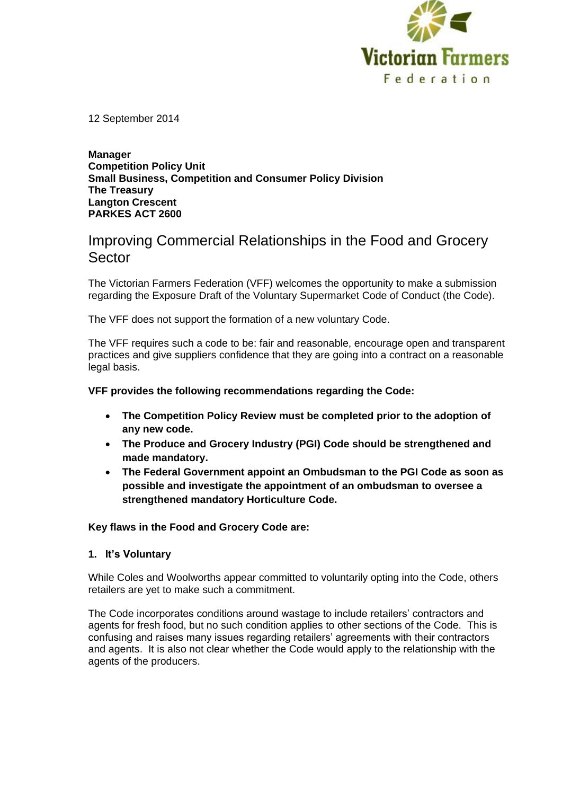

12 September 2014

#### **Manager Competition Policy Unit Small Business, Competition and Consumer Policy Division The Treasury Langton Crescent PARKES ACT 2600**

# Improving Commercial Relationships in the Food and Grocery Sector

The Victorian Farmers Federation (VFF) welcomes the opportunity to make a submission regarding the Exposure Draft of the Voluntary Supermarket Code of Conduct (the Code).

The VFF does not support the formation of a new voluntary Code.

The VFF requires such a code to be: fair and reasonable, encourage open and transparent practices and give suppliers confidence that they are going into a contract on a reasonable legal basis.

# **VFF provides the following recommendations regarding the Code:**

- **The Competition Policy Review must be completed prior to the adoption of any new code.**
- **The Produce and Grocery Industry (PGI) Code should be strengthened and made mandatory.**
- **The Federal Government appoint an Ombudsman to the PGI Code as soon as possible and investigate the appointment of an ombudsman to oversee a strengthened mandatory Horticulture Code.**

**Key flaws in the Food and Grocery Code are:**

# **1. It's Voluntary**

While Coles and Woolworths appear committed to voluntarily opting into the Code, others retailers are yet to make such a commitment.

The Code incorporates conditions around wastage to include retailers' contractors and agents for fresh food, but no such condition applies to other sections of the Code. This is confusing and raises many issues regarding retailers' agreements with their contractors and agents. It is also not clear whether the Code would apply to the relationship with the agents of the producers.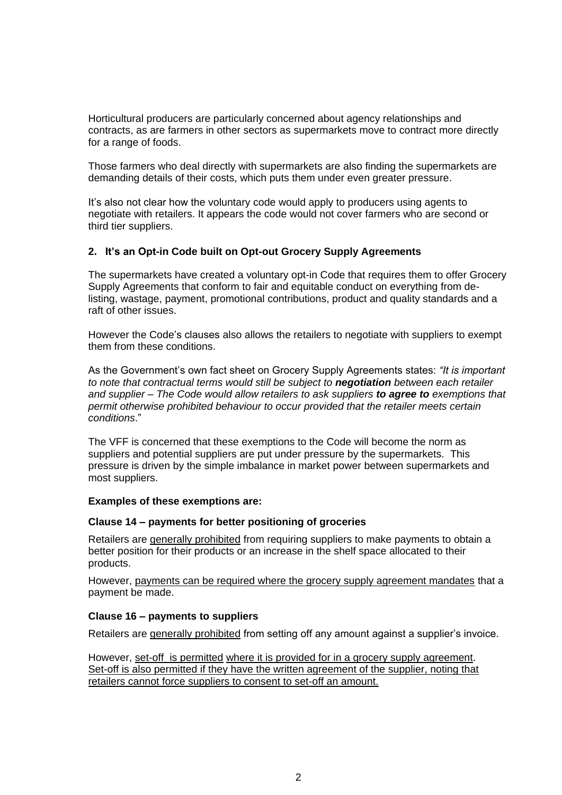Horticultural producers are particularly concerned about agency relationships and contracts, as are farmers in other sectors as supermarkets move to contract more directly for a range of foods.

Those farmers who deal directly with supermarkets are also finding the supermarkets are demanding details of their costs, which puts them under even greater pressure.

It's also not clear how the voluntary code would apply to producers using agents to negotiate with retailers. It appears the code would not cover farmers who are second or third tier suppliers.

# **2. It's an Opt-in Code built on Opt-out Grocery Supply Agreements**

The supermarkets have created a voluntary opt-in Code that requires them to offer Grocery Supply Agreements that conform to fair and equitable conduct on everything from delisting, wastage, payment, promotional contributions, product and quality standards and a raft of other issues.

However the Code's clauses also allows the retailers to negotiate with suppliers to exempt them from these conditions.

As the Government's own fact sheet on Grocery Supply Agreements states: *"It is important to note that contractual terms would still be subject to negotiation between each retailer and supplier – The Code would allow retailers to ask suppliers to agree to exemptions that permit otherwise prohibited behaviour to occur provided that the retailer meets certain conditions*."

The VFF is concerned that these exemptions to the Code will become the norm as suppliers and potential suppliers are put under pressure by the supermarkets. This pressure is driven by the simple imbalance in market power between supermarkets and most suppliers.

# **Examples of these exemptions are:**

# **Clause 14 – payments for better positioning of groceries**

Retailers are generally prohibited from requiring suppliers to make payments to obtain a better position for their products or an increase in the shelf space allocated to their products.

However, payments can be required where the grocery supply agreement mandates that a payment be made.

# **Clause 16 – payments to suppliers**

Retailers are generally prohibited from setting off any amount against a supplier's invoice.

However, set-off is permitted where it is provided for in a grocery supply agreement. Set-off is also permitted if they have the written agreement of the supplier, noting that retailers cannot force suppliers to consent to set-off an amount.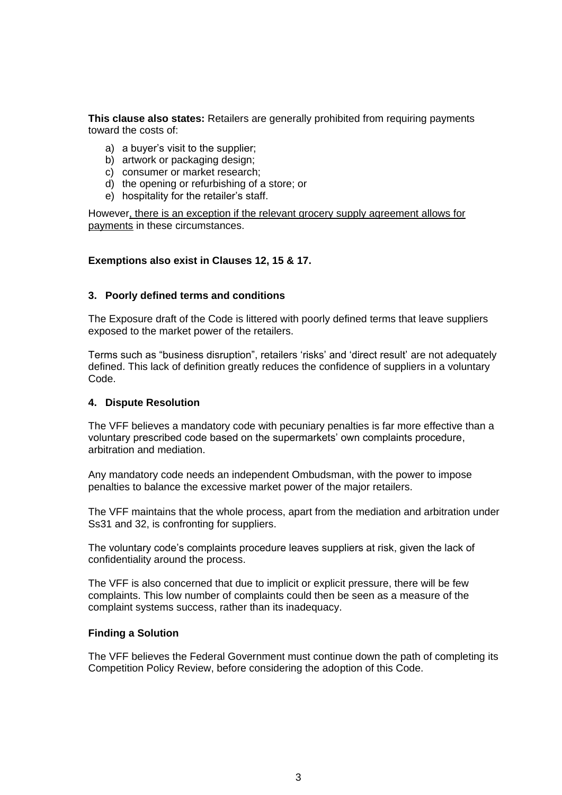**This clause also states:** Retailers are generally prohibited from requiring payments toward the costs of:

- a) a buyer's visit to the supplier;
- b) artwork or packaging design;
- c) consumer or market research;
- d) the opening or refurbishing of a store; or
- e) hospitality for the retailer's staff.

However, there is an exception if the relevant grocery supply agreement allows for payments in these circumstances.

# **Exemptions also exist in Clauses 12, 15 & 17.**

#### **3. Poorly defined terms and conditions**

The Exposure draft of the Code is littered with poorly defined terms that leave suppliers exposed to the market power of the retailers.

Terms such as "business disruption", retailers 'risks' and 'direct result' are not adequately defined. This lack of definition greatly reduces the confidence of suppliers in a voluntary Code.

#### **4. Dispute Resolution**

The VFF believes a mandatory code with pecuniary penalties is far more effective than a voluntary prescribed code based on the supermarkets' own complaints procedure, arbitration and mediation.

Any mandatory code needs an independent Ombudsman, with the power to impose penalties to balance the excessive market power of the major retailers.

The VFF maintains that the whole process, apart from the mediation and arbitration under Ss31 and 32, is confronting for suppliers.

The voluntary code's complaints procedure leaves suppliers at risk, given the lack of confidentiality around the process.

The VFF is also concerned that due to implicit or explicit pressure, there will be few complaints. This low number of complaints could then be seen as a measure of the complaint systems success, rather than its inadequacy.

#### **Finding a Solution**

The VFF believes the Federal Government must continue down the path of completing its Competition Policy Review, before considering the adoption of this Code.